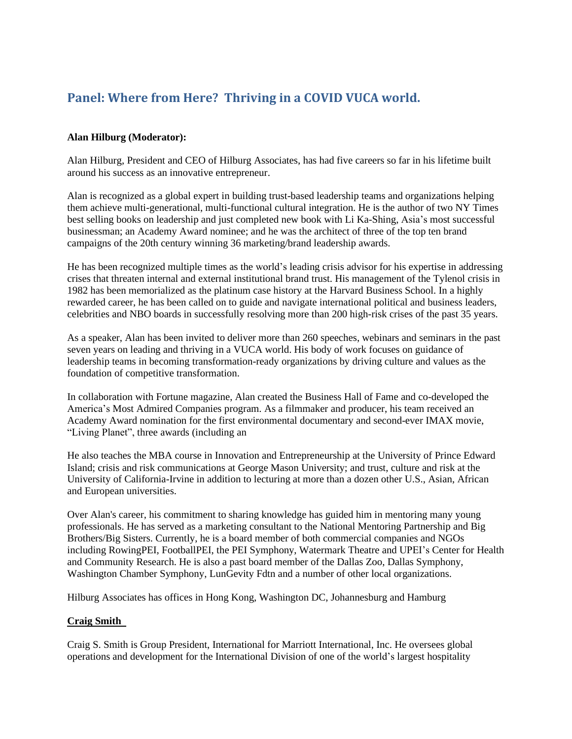# **Panel: Where from Here? Thriving in a COVID VUCA world.**

## **Alan Hilburg (Moderator):**

Alan Hilburg, President and CEO of Hilburg Associates, has had five careers so far in his lifetime built around his success as an innovative entrepreneur.

Alan is recognized as a global expert in building trust-based leadership teams and organizations helping them achieve multi-generational, multi-functional cultural integration. He is the author of two NY Times best selling books on leadership and just completed new book with Li Ka-Shing, Asia's most successful businessman; an Academy Award nominee; and he was the architect of three of the top ten brand campaigns of the 20th century winning 36 marketing/brand leadership awards.

He has been recognized multiple times as the world's leading crisis advisor for his expertise in addressing crises that threaten internal and external institutional brand trust. His management of the Tylenol crisis in 1982 has been memorialized as the platinum case history at the Harvard Business School. In a highly rewarded career, he has been called on to guide and navigate international political and business leaders, celebrities and NBO boards in successfully resolving more than 200 high-risk crises of the past 35 years.

As a speaker, Alan has been invited to deliver more than 260 speeches, webinars and seminars in the past seven years on leading and thriving in a VUCA world. His body of work focuses on guidance of leadership teams in becoming transformation-ready organizations by driving culture and values as the foundation of competitive transformation.

In collaboration with Fortune magazine, Alan created the Business Hall of Fame and co-developed the America's Most Admired Companies program. As a filmmaker and producer, his team received an Academy Award nomination for the first environmental documentary and second-ever IMAX movie, "Living Planet", three awards (including an

He also teaches the MBA course in Innovation and Entrepreneurship at the University of Prince Edward Island; crisis and risk communications at George Mason University; and trust, culture and risk at the University of California-Irvine in addition to lecturing at more than a dozen other U.S., Asian, African and European universities.

Over Alan's career, his commitment to sharing knowledge has guided him in mentoring many young professionals. He has served as a marketing consultant to the National Mentoring Partnership and Big Brothers/Big Sisters. Currently, he is a board member of both commercial companies and NGOs including RowingPEI, FootballPEI, the PEI Symphony, Watermark Theatre and UPEI's Center for Health and Community Research. He is also a past board member of the Dallas Zoo, Dallas Symphony, Washington Chamber Symphony, LunGevity Fdtn and a number of other local organizations.

Hilburg Associates has offices in Hong Kong, Washington DC, Johannesburg and Hamburg

### **Craig Smith**

Craig S. Smith is Group President, International for Marriott International, Inc. He oversees global operations and development for the International Division of one of the world's largest hospitality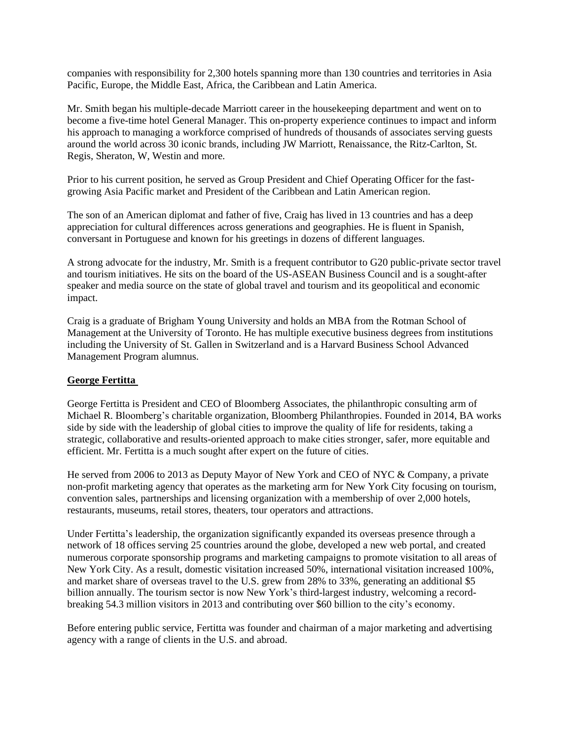companies with responsibility for 2,300 hotels spanning more than 130 countries and territories in Asia Pacific, Europe, the Middle East, Africa, the Caribbean and Latin America.

Mr. Smith began his multiple-decade Marriott career in the housekeeping department and went on to become a five-time hotel General Manager. This on-property experience continues to impact and inform his approach to managing a workforce comprised of hundreds of thousands of associates serving guests around the world across 30 iconic brands, including JW Marriott, Renaissance, the Ritz-Carlton, St. Regis, Sheraton, W, Westin and more.

Prior to his current position, he served as Group President and Chief Operating Officer for the fastgrowing Asia Pacific market and President of the Caribbean and Latin American region.

The son of an American diplomat and father of five, Craig has lived in 13 countries and has a deep appreciation for cultural differences across generations and geographies. He is fluent in Spanish, conversant in Portuguese and known for his greetings in dozens of different languages.

A strong advocate for the industry, Mr. Smith is a frequent contributor to G20 public-private sector travel and tourism initiatives. He sits on the board of the US-ASEAN Business Council and is a sought-after speaker and media source on the state of global travel and tourism and its geopolitical and economic impact.

Craig is a graduate of Brigham Young University and holds an MBA from the Rotman School of Management at the University of Toronto. He has multiple executive business degrees from institutions including the University of St. Gallen in Switzerland and is a Harvard Business School Advanced Management Program alumnus.

### **George Fertitta**

George Fertitta is President and CEO of Bloomberg Associates, the philanthropic consulting arm of Michael R. Bloomberg's charitable organization, Bloomberg Philanthropies. Founded in 2014, BA works side by side with the leadership of global cities to improve the quality of life for residents, taking a strategic, collaborative and results-oriented approach to make cities stronger, safer, more equitable and efficient. Mr. Fertitta is a much sought after expert on the future of cities.

He served from 2006 to 2013 as Deputy Mayor of New York and CEO of NYC & Company, a private non-profit marketing agency that operates as the marketing arm for New York City focusing on tourism, convention sales, partnerships and licensing organization with a membership of over 2,000 hotels, restaurants, museums, retail stores, theaters, tour operators and attractions.

Under Fertitta's leadership, the organization significantly expanded its overseas presence through a network of 18 offices serving 25 countries around the globe, developed a new web portal, and created numerous corporate sponsorship programs and marketing campaigns to promote visitation to all areas of New York City. As a result, domestic visitation increased 50%, international visitation increased 100%, and market share of overseas travel to the U.S. grew from 28% to 33%, generating an additional \$5 billion annually. The tourism sector is now New York's third-largest industry, welcoming a recordbreaking 54.3 million visitors in 2013 and contributing over \$60 billion to the city's economy.

Before entering public service, Fertitta was founder and chairman of a major marketing and advertising agency with a range of clients in the U.S. and abroad.